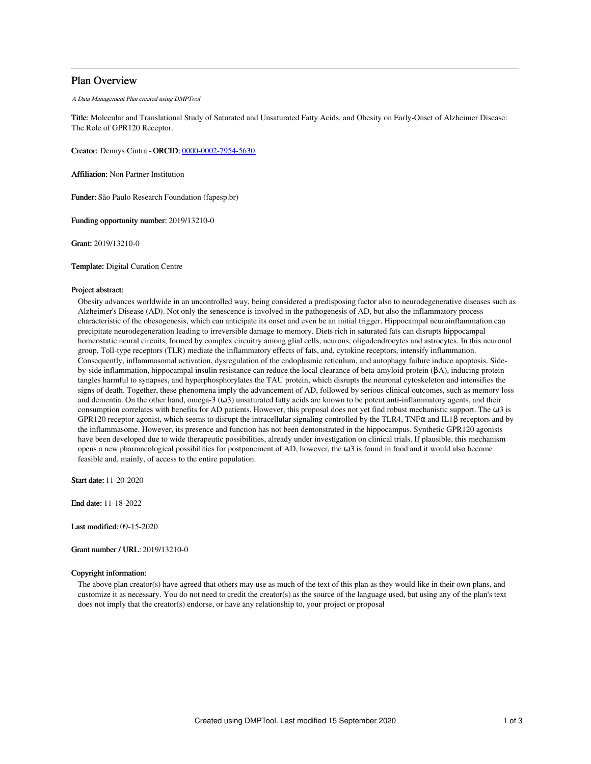# Plan Overview

A Data Management Plan created using DMPTool

Title: Molecular and Translational Study of Saturated and Unsaturated Fatty Acids, and Obesity on Early-Onset of Alzheimer Disease: The Role of GPR120 Receptor.

Creator: Dennys Cintra -ORCID: [0000-0002-7954-5630](https://orcid.org/0000-0002-7954-5630)

Affiliation: Non Partner Institution

Funder: São Paulo Research Foundation (fapesp.br)

Funding opportunity number: 2019/13210-0

Grant: 2019/13210-0

Template: Digital Curation Centre

### Project abstract:

Obesity advances worldwide in an uncontrolled way, being considered a predisposing factor also to neurodegenerative diseases such as Alzheimer's Disease (AD). Not only the senescence is involved in the pathogenesis of AD, but also the inflammatory process characteristic of the obesogenesis, which can anticipate its onset and even be an initial trigger. Hippocampal neuroinflammation can precipitate neurodegeneration leading to irreversible damage to memory. Diets rich in saturated fats can disrupts hippocampal homeostatic neural circuits, formed by complex circuitry among glial cells, neurons, oligodendrocytes and astrocytes. In this neuronal group, Toll-type receptors (TLR) mediate the inflammatory effects of fats, and, cytokine receptors, intensify inflammation. Consequently, inflammasomal activation, dysregulation of the endoplasmic reticulum, and autophagy failure induce apoptosis. Sideby-side inflammation, hippocampal insulin resistance can reduce the local clearance of beta-amyloid protein (βA), inducing protein tangles harmful to synapses, and hyperphosphorylates the TAU protein, which disrupts the neuronal cytoskeleton and intensifies the signs of death. Together, these phenomena imply the advancement of AD, followed by serious clinical outcomes, such as memory loss and dementia. On the other hand, omega-3  $(\omega_3)$  unsaturated fatty acids are known to be potent anti-inflammatory agents, and their consumption correlates with benefits for AD patients. However, this proposal does not yet find robust mechanistic support. The ω3 is GPR120 receptor agonist, which seems to disrupt the intracellular signaling controlled by the TLR4, TNFα and IL1β receptors and by the inflammasome. However, its presence and function has not been demonstrated in the hippocampus. Synthetic GPR120 agonists have been developed due to wide therapeutic possibilities, already under investigation on clinical trials. If plausible, this mechanism opens a new pharmacological possibilities for postponement of AD, however, the  $\omega$ 3 is found in food and it would also become feasible and, mainly, of access to the entire population.

Start date: 11-20-2020

End date: 11-18-2022

Last modified: 09-15-2020

Grant number / URL: 2019/13210-0

# Copyright information:

The above plan creator(s) have agreed that others may use as much of the text of this plan as they would like in their own plans, and customize it as necessary. You do not need to credit the creator(s) as the source of the language used, but using any of the plan's text does not imply that the creator(s) endorse, or have any relationship to, your project or proposal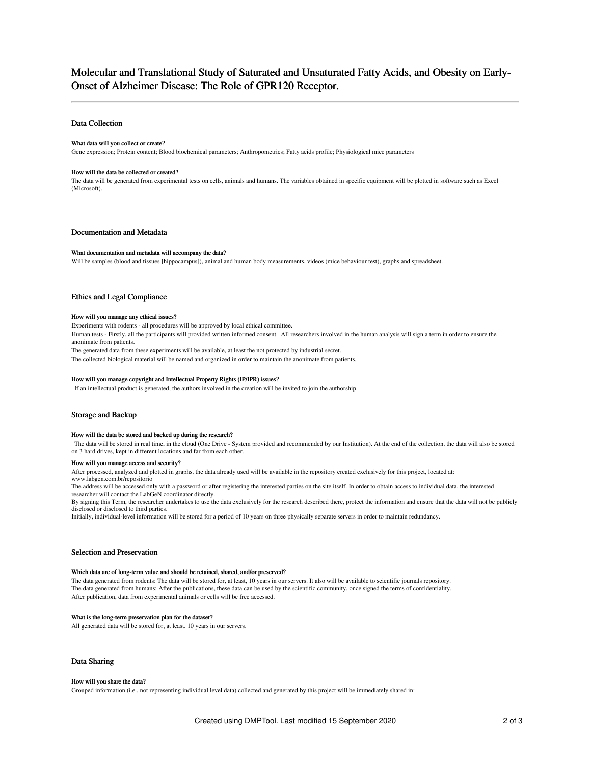# Molecular and Translational Study of Saturated and Unsaturated Fatty Acids, and Obesity on Early-Onset of Alzheimer Disease: The Role of GPR120 Receptor.

# Data Collection

### What data will you collect or create?

Gene expression; Protein content; Blood biochemical parameters; Anthropometrics; Fatty acids profile; Physiological mice parameters

#### How will the data be collected or created?

The data will be generated from experimental tests on cells, animals and humans. The variables obtained in specific equipment will be plotted in software such as Excel (Microsoft).

# Documentation and Metadata

#### What documentation and metadata will accompany the data?

Will be samples (blood and tissues [hippocampus]), animal and human body measurements, videos (mice behaviour test), graphs and spreadsheet.

# Ethics and Legal Compliance

### How will you manage any ethical issues?

Experiments with rodents - all procedures will be approved by local ethical committee.

Human tests - Firstly, all the participants will provided written informed consent. All researchers involved in the human analysis will sign a term in order to ensure the anonimate from patients.

The generated data from these experiments will be available, at least the not protected by industrial secret.

The collected biological material will be named and organized in order to maintain the anonimate from patients.

### How will you manage copyright and Intellectual Property Rights (IP/IPR) issues?

If an intellectual product is generated, the authors involved in the creation will be invited to join the authorship.

# Storage and Backup

#### How will the data be stored and backed up during the research?

The data will be stored in real time, in the cloud (One Drive - System provided and recommended by our Institution). At the end of the collection, the data will also be stored on 3 hard drives, kept in different locations and far from each other.

#### How will you manage access and security?

After processed, analyzed and plotted in graphs, the data already used will be available in the repository created exclusively for this project, located at:

www.labgen.com.br/repositorio

The address will be accessed only with a password or after registering the interested parties on the site itself. In order to obtain access to individual data, the interested researcher will contact the LabGeN coordinator directly.

By signing this Term, the researcher undertakes to use the data exclusively for the research described there, protect the information and ensure that the data will not be publicly disclosed or disclosed to third parties.

Initially, individual-level information will be stored for a period of 10 years on three physically separate servers in order to maintain redundancy.

### Selection and Preservation

### Which data are of long-term value and should be retained, shared, and/or preserved?

The data generated from rodents: The data will be stored for, at least, 10 years in our servers. It also will be available to scientific journals repository. The data generated from humans: After the publications, these data can be used by the scientific community, once signed the terms of confidentiality. After publication, data from experimental animals or cells will be free accessed.

### What is the long-term preservation plan for the dataset?

All generated data will be stored for, at least, 10 years in our servers.

# Data Sharing

#### How will you share the data?

Grouped information (i.e., not representing individual level data) collected and generated by this project will be immediately shared in: